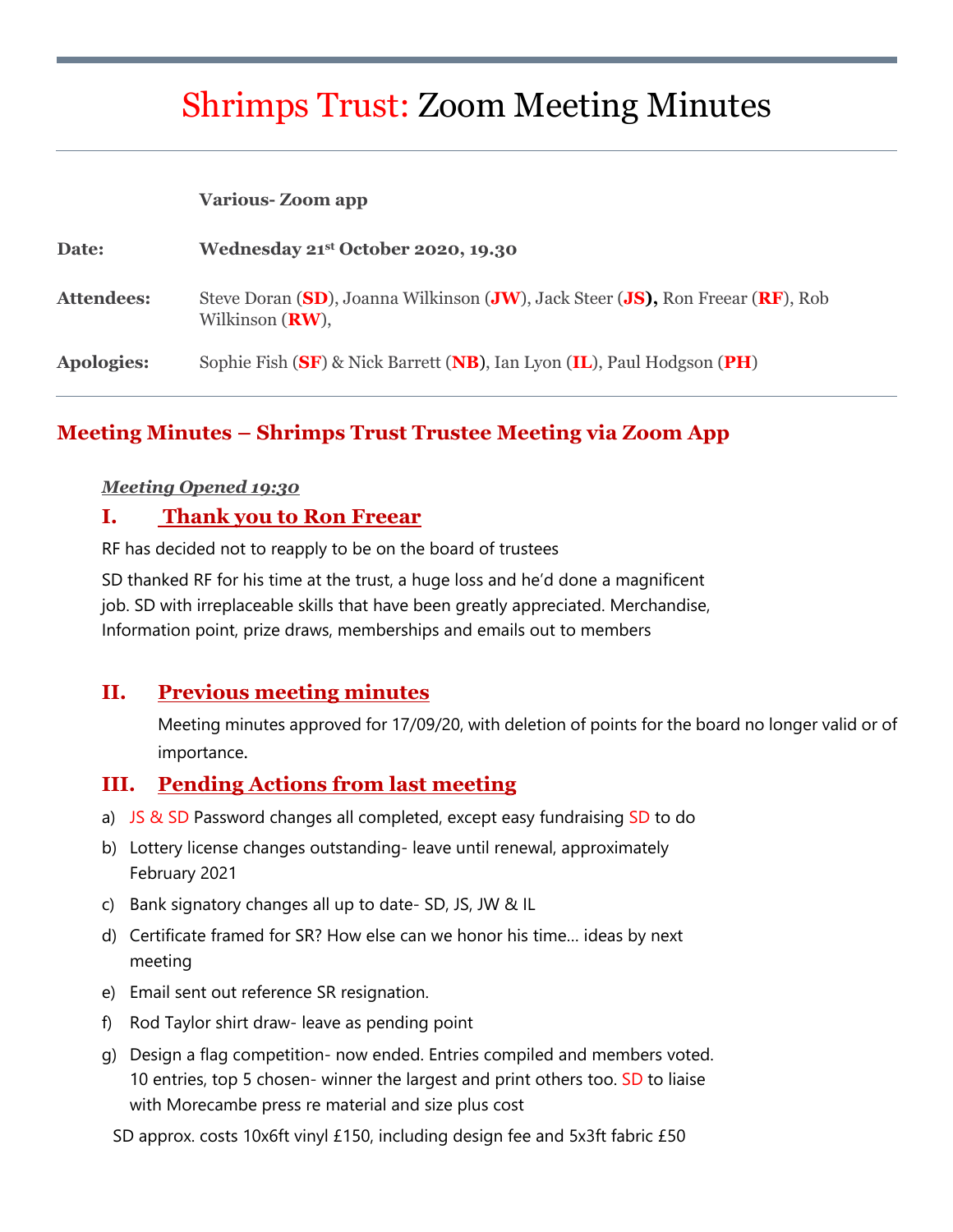# Shrimps Trust: Zoom Meeting Minutes

| <b>Various-Zoom app</b> |  |  |
|-------------------------|--|--|
|-------------------------|--|--|

| Date:             | Wednesday 21 <sup>st</sup> October 2020, 19.30                                                       |
|-------------------|------------------------------------------------------------------------------------------------------|
| <b>Attendees:</b> | Steve Doran (SD), Joanna Wilkinson (JW), Jack Steer (JS), Ron Freear (RF), Rob<br>Wilkinson $(RW)$ , |
| Apologies:        | Sophie Fish (SF) & Nick Barrett (NB), Ian Lyon (IL), Paul Hodgson (PH)                               |

#### **Meeting Minutes – Shrimps Trust Trustee Meeting via Zoom App**

#### *Meeting Opened 19:30*

#### **I. Thank you to Ron Freear**

RF has decided not to reapply to be on the board of trustees

SD thanked RF for his time at the trust, a huge loss and he'd done a magnificent job. SD with irreplaceable skills that have been greatly appreciated. Merchandise, Information point, prize draws, memberships and emails out to members

## **II. Previous meeting minutes**

Meeting minutes approved for 17/09/20, with deletion of points for the board no longer valid or of importance.

#### **III. Pending Actions from last meeting**

- a) JS & SD Password changes all completed, except easy fundraising SD to do
- b) Lottery license changes outstanding- leave until renewal, approximately February 2021
- c) Bank signatory changes all up to date- SD, JS, JW & IL
- d) Certificate framed for SR? How else can we honor his time… ideas by next meeting
- e) Email sent out reference SR resignation.
- f) Rod Taylor shirt draw- leave as pending point
- g) Design a flag competition- now ended. Entries compiled and members voted. 10 entries, top 5 chosen- winner the largest and print others too. SD to liaise with Morecambe press re material and size plus cost

SD approx. costs 10x6ft vinyl £150, including design fee and 5x3ft fabric £50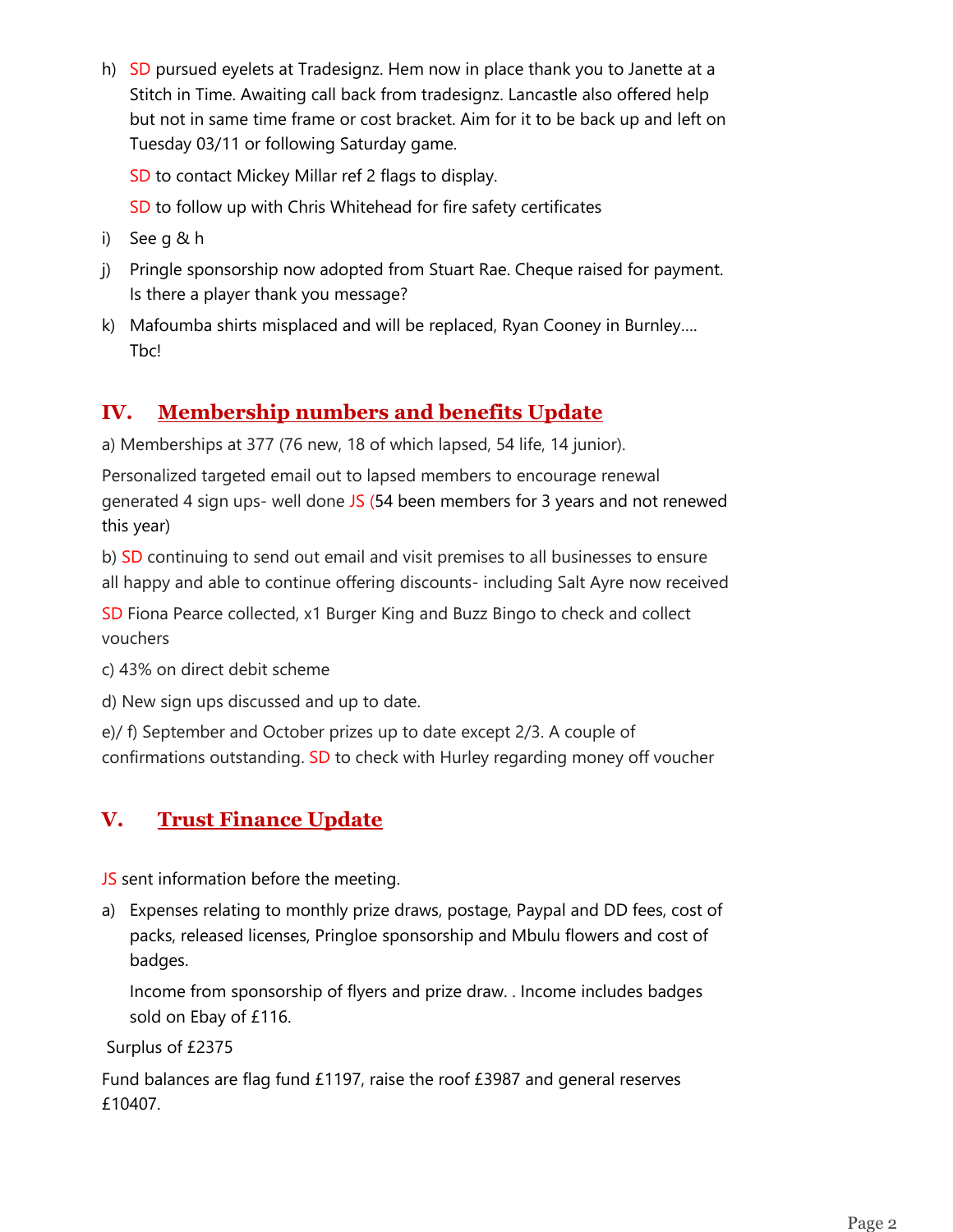h) SD pursued eyelets at Tradesignz. Hem now in place thank you to Janette at a Stitch in Time. Awaiting call back from tradesignz. Lancastle also offered help but not in same time frame or cost bracket. Aim for it to be back up and left on Tuesday 03/11 or following Saturday game.

SD to contact Mickey Millar ref 2 flags to display.

SD to follow up with Chris Whitehead for fire safety certificates

- i) See g & h
- j) Pringle sponsorship now adopted from Stuart Rae. Cheque raised for payment. Is there a player thank you message?
- k) Mafoumba shirts misplaced and will be replaced, Ryan Cooney in Burnley…. Tbc!

## **IV. Membership numbers and benefits Update**

a) Memberships at 377 (76 new, 18 of which lapsed, 54 life, 14 junior).

Personalized targeted email out to lapsed members to encourage renewal generated 4 sign ups- well done JS (54 been members for 3 years and not renewed this year)

b) SD continuing to send out email and visit premises to all businesses to ensure all happy and able to continue offering discounts- including Salt Ayre now received

SD Fiona Pearce collected, x1 Burger King and Buzz Bingo to check and collect vouchers

c) 43% on direct debit scheme

d) New sign ups discussed and up to date.

e)/ f) September and October prizes up to date except 2/3. A couple of confirmations outstanding. SD to check with Hurley regarding money off voucher

## **V. Trust Finance Update**

JS sent information before the meeting.

a) Expenses relating to monthly prize draws, postage, Paypal and DD fees, cost of packs, released licenses, Pringloe sponsorship and Mbulu flowers and cost of badges.

Income from sponsorship of flyers and prize draw. . Income includes badges sold on Ebay of £116.

Surplus of £2375

Fund balances are flag fund £1197, raise the roof £3987 and general reserves £10407.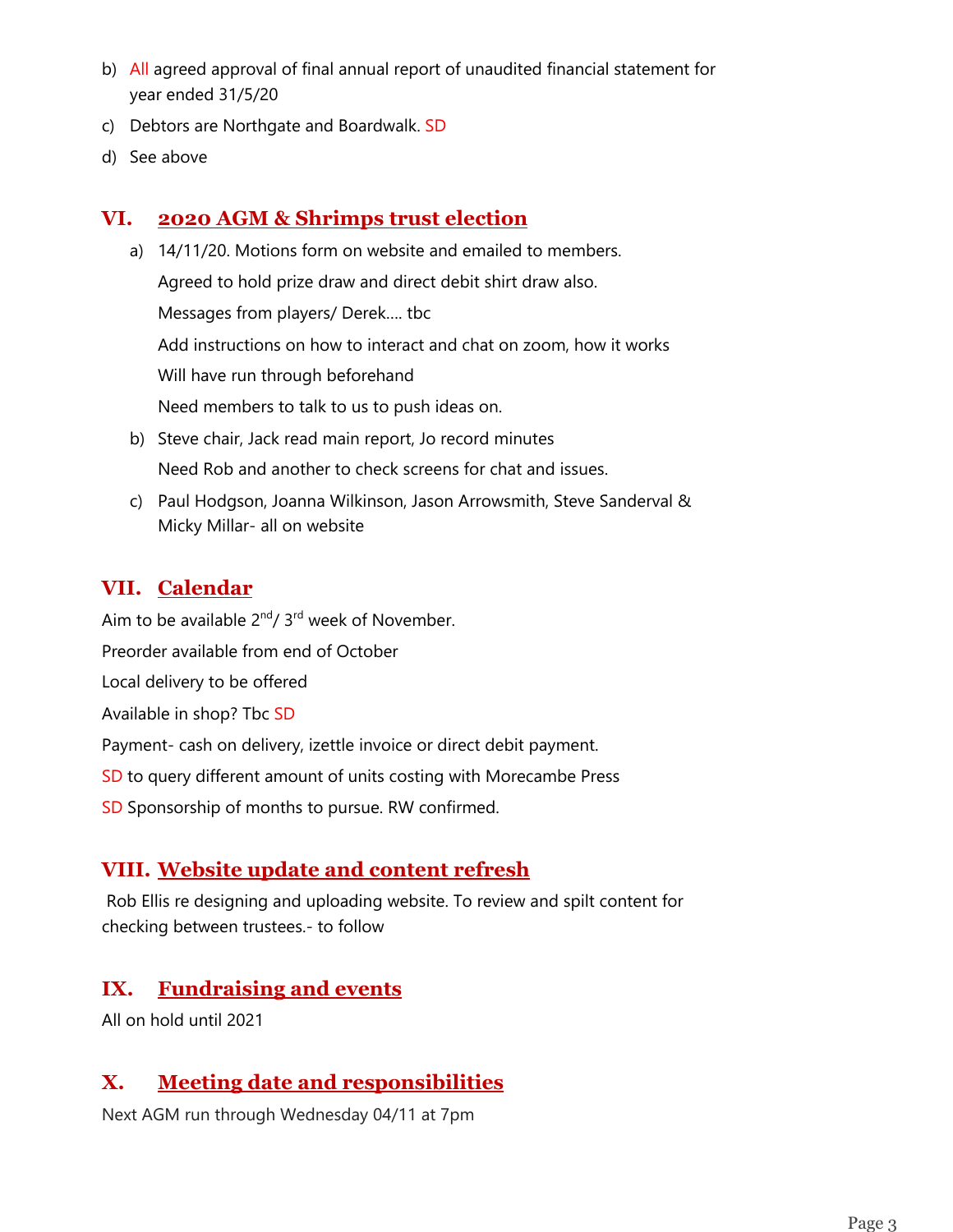- b) All agreed approval of final annual report of unaudited financial statement for year ended 31/5/20
- c) Debtors are Northgate and Boardwalk. SD
- d) See above

## **VI. 2020 AGM & Shrimps trust election**

- a) 14/11/20. Motions form on website and emailed to members. Agreed to hold prize draw and direct debit shirt draw also. Messages from players/ Derek…. tbc Add instructions on how to interact and chat on zoom, how it works Will have run through beforehand Need members to talk to us to push ideas on.
- b) Steve chair, Jack read main report, Jo record minutes Need Rob and another to check screens for chat and issues.
- c) Paul Hodgson, Joanna Wilkinson, Jason Arrowsmith, Steve Sanderval & Micky Millar- all on website

## **VII. Calendar**

Aim to be available  $2^{nd}/3^{rd}$  week of November.

Preorder available from end of October

Local delivery to be offered

Available in shop? Tbc SD

Payment- cash on delivery, izettle invoice or direct debit payment.

SD to query different amount of units costing with Morecambe Press

SD Sponsorship of months to pursue. RW confirmed.

## **VIII. Website update and content refresh**

Rob Ellis re designing and uploading website. To review and spilt content for checking between trustees.- to follow

## **IX. Fundraising and events**

All on hold until 2021

## **X. Meeting date and responsibilities**

Next AGM run through Wednesday 04/11 at 7pm